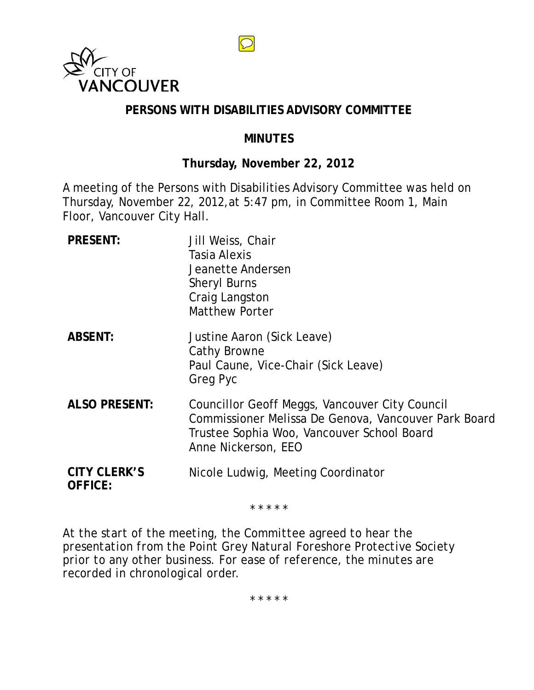

## **PERSONS WITH DISABILITIES ADVISORY COMMITTEE**

 $\overline{\bigcirc}$ 

## **MINUTES**

## **Thursday, November 22, 2012**

A meeting of the Persons with Disabilities Advisory Committee was held on Thursday, November 22, 2012,at 5:47 pm, in Committee Room 1, Main Floor, Vancouver City Hall.

| <b>PRESENT:</b>                       | Jill Weiss, Chair<br>Tasia Alexis<br>Jeanette Andersen<br><b>Sheryl Burns</b><br>Craig Langston<br><b>Matthew Porter</b>                                                    |
|---------------------------------------|-----------------------------------------------------------------------------------------------------------------------------------------------------------------------------|
| <b>ABSENT:</b>                        | Justine Aaron (Sick Leave)<br>Cathy Browne<br>Paul Caune, Vice-Chair (Sick Leave)<br>Greg Pyc                                                                               |
| <b>ALSO PRESENT:</b>                  | Councillor Geoff Meggs, Vancouver City Council<br>Commissioner Melissa De Genova, Vancouver Park Board<br>Trustee Sophia Woo, Vancouver School Board<br>Anne Nickerson, EEO |
| <b>CITY CLERK'S</b><br><b>OFFICE:</b> | Nicole Ludwig, Meeting Coordinator                                                                                                                                          |

\* \* \* \* \*

*At the start of the meeting, the Committee agreed to hear the presentation from the Point Grey Natural Foreshore Protective Society prior to any other business. For ease of reference, the minutes are recorded in chronological order.*

*\* \* \* \* \**